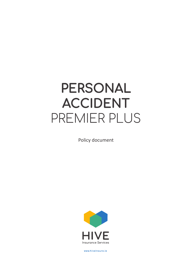# **PERSONAL ACCIDENT** PREMIER PLUS

Policy document



**www.hiveinsure.ie**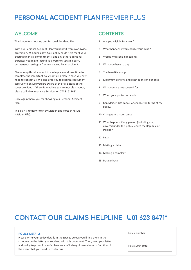## **PERSONAL ACCIDENT PLAN** PREMIER PLUS

### **WELCOME**

Thank you for choosing our Personal Accident Plan.

With our Personal Accident Plan you benefit from worldwide protection, 24 hours a day. Your policy could help meet your existing financial commitments, and any other additional expenses you might incur if you were to sustain a burn, permanent scarring or fracture caused by an accident.

Please keep this document in a safe place and take time to complete the important policy details below in case you ever need to contact us. We also urge you to read this document carefully to ensure you are aware of the full details of the cover provided. If there is anything you are not clear about, please call Hive Insurance Services on 074 9161868\*.

Once again thank you for choosing our Personal Accident Plan.

This plan is underwritten by Maiden Life Försäkrings AB (Maiden Life).

### **CONTENTS**

- 1 Are you eligible for cover?
- 2 What happens if you change your mind?
- 3 Words with special meanings
- 4 What you have to pay
- 5 The benefits you get
- 6 Maximum benefits and restrictions on benefits
- 7 What you are not covered for
- 8 When your protection ends
- 9 Can Maiden Life cancel or change the terms of my policy?
- 10 Changes in circumstance
- 11 What happens if any person (including you) covered under this policy leaves the Republic of Ireland?
- 12 Legal
- 13 Making a claim
- 14 Making a complaint
- 15 Data privacy

# **CONTACT OUR CLAIMS HELPLINE 01 623 8471\***

#### **POLICY DETAILS**

Please write your policy details in the spaces below; you'll find them in the schedule on the letter you received with this document. Then, keep your letter and policy together in a safe place, so you'll always know where to find them in the event that you need to contact us.

Policy Number:

Policy Start Date: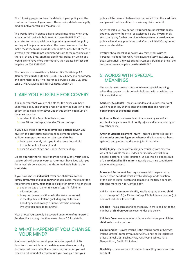The following pages contain the details of **your** policy and the contractual terms of **your** cover. These policy details are legally binding between **you** and Maiden Life.

The words listed in clause 3 have special meanings when they appear in this policy in bold text. It is very IMPORTANT that **you** refer to these special meanings when **you** read the policy as they will help **you** understand the cover. **We** have tried to make these meanings as understandable as possible. If there is anything that **you** do not understand from these meanings or if there is, at any time, anything else in this policy on which **you** would like to have more information, then please contact **our** helpline on 074 9161868\*.

The policy is underwritten by Maiden Life Försäkrings AB, Klarabergsviadukten 70, Box 70396, 107 24, Stockholm, Sweden and administered by Hive Insurance Services, Suite 211, 3013 Lake Drive, Citywest Business Campus, Dublin 24.

### **1 ARE YOU ELIGIBLE FOR COVER?**

It is important that **you** are eligible for the cover **you** have under the policy and that **you** remain so for the duration of the policy. To be eligible for cover under this policy, **you** must on the **start date** be:

- **I** resident in the Republic of Ireland; and
- › over 18 years of age and under 65 years of age.

If **you** have chosen **individual cover** and **partner cover**, **you** must on the **start date** meet the requirements above. In addition **your partner** must on the **start date** be:

- › living permanently with **you** in the same household in the Republic of Ireland; and
- › over 18 years of age and under 65 years of age.

Unless **your partner** is legally married to **you**, or is **your** legally registered civil **partner**, **your partner** must have lived with **you** for at least six consecutive months immediately before the **start date**.

If **you** have chosen **individual cover** and **children cover** or **family cover**, **you** and **your partner** (if applicable) must meet the requirements above. **Your child** is eligible for cover if he or she is:

- › under the age of 18 (or 23 years of age if in full time education); and
- › living permanently with **you** in the same household in the Republic of Ireland (including any **children** at boarding school, college or university who normally live with **you** outside term time).

Please note: **You** can only be covered under one of **our** Personal Accident Plans at any one time – see clause 6.6 for details.

### **2 WHAT HAPPENS IF YOU CHANGE YOUR MIND?**

**You** have the right to cancel **your** policy for a period of 30 days from the **start date** or the date **you** receive **your** policy documents if this is later. If **you** cancel in this period **you** will receive a full refund of any premium **you** have paid and **your** policy will be deemed to have been cancelled from the **start date** and **you** will not be entitled to make any claim under it.

After the initial 30 day period if **you** wish to cancel **your** policy, **you** may either write or call as explained below. If **you** simply stop paying any further premium when premiums are due **your** policy will end. Any premiums paid after the initial 30 day period are non-refundable.

If **you** wish to cancel **your** policy, **you** may either write to Personal Accident Plan Unit, Hive Insurance Services, Suite 211, 3013 Lake Drive, Citywest Business Campus, Dublin 24 or call the customer service helpline on 074 9161868\*

### **3 WORDS WITH SPECIAL MEANINGS**

The words listed below have the following special meanings when they appear in this policy in bold text with or without an initial capital letter:

**Accident/Accidental** – means a sudden and unforeseen event which happens by chance after the **start date** and results in **bodily injury** or **accidental death**.

**Accidental Death** – means death that occurs by way of an **accident** solely as a result of **bodily injury** and independently of any other cause.

**Anterior Cruciate Ligament Injury** – means a complete tear of the **anterior cruciate ligament** whereby the ligament has been split into two pieces and the knee joint is unstable.

**Bodily Injury** – means physical injury resulting from external violent and visible means. It does not include any sickness, disease, bacterial or viral infection (unless this is a direct result of an **accidental bodily injury**) naturally occurring condition or degenerative process.

**Burns and Permanent Scarring** – means third degree burns caused by an **accident** which involve damage or destruction of the skin to its full depth and damage to the tissue beneath, affecting more than 15% of the body.

**Child** – means **your** natural **child**, legally adopted or step **child** up to the age of 18 (or 23 years of age if in full time education). It does not include a foster **child**.

**Children** – has a corresponding meaning. There is no limit to the number of **children you** can cover under this policy.

**Children Cover** – means when this policy includes **your child** or **children** but not a **partner**.

**Claim Handler** – Davies Ireland is the trading name of Garywn Ireland Limited, company number 279634 having its registered office at Block 10B, Beckett Way, Park West Business Park, Nangor Road, Dublin 12, Ireland.

**Disability** – means a state of incapacity resulting solely from an **accident**.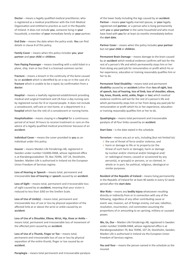**Doctor** – means a legally qualified medical practitioner, who is registered as a medical practitioner with the Irish Medical Organisation and entitled to practice as such in the Republic of Ireland. It does not include **you**, someone living in **your** household, a member of **your** immediate family or **your** partner.

**End Date** – means the date when the policy ends. **You** can find details in clause 8 of this policy.

**Family Cover** – means when this policy includes **you**, **your partner** and **your child** or **children**.

**Fare Paying Passenger** – means travelling with a valid ticket in a plane, ship, train or bus that is a licensed common carrier.

**Fracture** – means a breach in the continuity of the bone caused by an **accident** which is identified by an x-ray or in the case of a **fracture** which is unable to be x-rayed, by confirmation from a **doctor**.

**Hospital** – means a lawfully registered establishment providing medical and surgical treatment and 24-hour a day nursing care by registered nurses for ill or injured people. It does not include a convalescent, self-care or rest home, or a department in a **hospital** which has the role of a convalescent or nursing home.

**Hospitalisation** – means staying in a **hospital** for a continuous period of at least 24 hours to receive treatment or care on the advice of a legally qualified medical practitioner because of an **accident**.

**Individual Cover** – means the cover provided to **you** as an individual under this policy.

**Insurer** – means Maiden Life Försäkrings AB, registered in Sweden under number 516406-0468, whose registered office is at Klarabergsviadukten 70, Box 70396, 107 24, Stockholm, Sweden. Maiden Life is authorised in Ireland via the European Union Freedom of Services regime.

**Loss of Hearing or Speech** – means total, permanent and irrecoverable **loss of hearing** or **speech** caused by an **accident**.

**Loss of Sight** – means total, permanent and irrecoverable loss of sight caused by an **accident**, meaning that your vision is reduced to less than 3/60 on the Snellen Scale.

**Loss of Use of Limb(s)** – means total, permanent and irrecoverable loss of use or loss by physical separation of the affected limb at or above the wrist or ankle caused by an **accident**.

**Loss of Use of a Shoulder, Elbow, Wrist, Hip, Knee or Ankle** – means total, permanent and irrecoverable loss of movement of the affected joint caused by an **accident**.

**Loss of Use of a Thumb, Finger or Toe** – means total, permanent and irrecoverable loss of use or loss by physical separation of the entire thumb, finger or toe caused by an **accident**.

**Paraplegia** – means total permanent and irrecoverable paralysis

of the lower body including the legs caused by an **accident**. **Partner** – means **your** legally married spouse, or **your** legally registered civil **partner**, or a person who is living permanently with **you** as **your partner** in the same household and who must have lived with **you** for at least six months immediately before the **start date**.

**Partner Cover** – means when this policy includes **your partner** but not **your child** or **children**.

**Permanent Brain Damage** – means damage to the brain caused by an **accident** which medical evidence confirms will last for the rest of a person's life and which permanently stops him or her from doing any paid job for remuneration or profit which his or her experience, education or training reasonably qualifies him or her to do.

**Permanent Total Disability** – means total and permanent **disability** caused by an **accident** (other than **loss of sight, loss of speech, loss of hearing, loss of limb, loss of shoulder, elbow, hip, knee, thumb, wrist, ankle, finger** or **toe**) which medical evidence confirms will last for the rest of a person's life and which permanently stops him or her from doing any paid job for remuneration or profit which his or her experience, education or training reasonably qualifies him or her to do.

**Quadriplegia** – means total permanent and irrecoverable paralysis of all four limbs caused by an **accident**.

**Start Date** – is the date stated in the schedule.

**Terrorism** – means any act or acts, including (but not limited to):

- If the use of threat of force and/or violence; and
- › harm or damage to life or to property (or the threat of such harm or damage), harm or damage by nuclear and/or chemical and/or biological and/ or radiological means; caused or occasioned by any person(s), or group(s) or persons, or so claimed, in whole or in part, for political, religious, ideological or similar purposes.

**Resident of the Republic of Ireland** – means living permanently in the Republic of Ireland for at least 40 weeks in every 52 week period after the **start date**.

**War Risks** – means any **bodily injury** whatsoever resulting directly or indirectly from or in connection with any of the following, regardless of any other contributing cause or event: war, invasion, act of foreign enemy, civil war, rebellion, revolution, insurrection, civil commotion assuming the proportions of or amounting to an uprising, military or usurped power.

**We, Us, Our** – Maiden Life Försäkrings AB, registered in Sweden under number 516406-0468, whose registered office is at Klarabergsviadukten 70, Box 70396, 107 24, Stockholm, Sweden. Maiden Life is authorised in Ireland via the European Union Freedom of Services regime.

**You and Your** – means the person named in the schedule as the insured.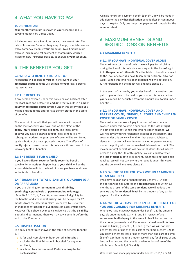### **4 WHAT YOU HAVE TO PAY**

#### **YOUR PREMIUM**

**Your** monthly premium is shown in **your** schedule and is payable monthly by Direct Debit.

It includes Insurance Premium Levy at the current rate. The rate of Insurance Premium Levy may change, in which case **we** will automatically adjust **your** premium. **Your** first premium will also include one-off payment of Stamp Duty which is levied on new insurance policies, as shown in **your** schedule.

### **5 THE BENEFITS YOU GET**

### **5.1 WHO WILL BENEFITS BE PAID TO?**

All benefits will be paid to **you** or in the event of **your accidental death** benefits will be paid to **your** legal personal representative.

#### **5.2 THE BENEFITS**

If any person covered under this policy has an **accident** after the **start date** and before the **end date** that results in a **bodily injury** or **accidental death** covered under this policy then **you** will be entitled to the appropriate benefit stated in the table of benefits.

The amount of benefit that **you** will receive will depend on the level of cover **you** have, and on the effect of the **bodily injury** caused by the **accident**. The initial level of cover **you** have is shown in **your** initial schedule; any subsequent updates to **your** level of cover will be confirmed by distribution of a new updated schedule. The effects of **bodily injury** covered under this policy are those shown in the following table of benefits.

### **5.3 THE BENEFIT FOR A CHILD**

If **you** have **children cover** or **family cover** the benefit payable for an **accident** happening to **your child** will be the appropriate benefit for the level of cover **you** have as shown in the table of benefits.

### **5.4 PERMANENT TOTAL DISABILITY, QUADRIPLEGIA OR PARAPLEGIA**

If **you** are claiming for **permanent total disability, quadriplegia, paraplegia** or **permanent brain damage** (Benefits 1.1, 1.2 , 4, 5 and 6), assessment of eligibility for the benefit (and any benefit arising) will be delayed for 12 months from the date **your** claim is received by **us** so that an independent **doctor** of **our** choice can assess **your** claim. However if it is shown by medical evidence that the **disability** is total and permanent, then **we** may pay a benefit before the end of the 12 months.

#### **5.5 HOSPITALISATION**

The daily benefit rate shown in the table of benefits (Benefit 13):

- › is for each complete 24 hour period in **hospital**;
- › excludes the first 24 hours in **hospital** for any one **accident**;
- › is subject to a maximum of 45 days in **hospital** for each **accident**.

A single lump sum payment benefit (Benefit 14) will be made in addition to the daily **hospitalisation** benefit after 14 continuous days in **hospital**. Only one lump sum payment will be paid for the same **accident**.

### **6 MAXIMUM BENEFITS AND RESTRICTIONS ON BENEFITS**

#### **6.1 MAXIMUM BENEFITS**

#### **6.1.1 IF YOU HAVE INDIVIDUAL COVER ALONE**

The maximum total benefit which **we** will pay for all claims during the life of this policy is a sum equal to the **loss of sight in both eyes benefit** (Benefit 2) in the table of benefits relevant to the level of cover **you** have taken out (i.e. Bronze, Silver or Gold). When this limit has been reached, **we** will not pay any further benefit and the policy will end (see clause 8).

In the event of a claim by **you** under Benefit 1 any other sums paid to **you** or due to be paid to **you** under this policy before **your** claim will be deducted from the amount due to **you** under Benefit 1.

### **6.1.2 IF YOU HAVE INDIVIDUAL COVER AND PARTNER COVER, INDIVIDUAL COVER AND CHILDREN COVER OR FAMILY COVER**

The maximum sum **we** will pay in respect of each person covered under this policy is a sum equal to the **loss of sight** in both eyes benefit. When this limit has been reached, **we** will not pay any further benefit in respect of that person, and cover under this policy will end for that person. Subject to clause 6.1.1, cover will continue for any other person covered under the policy who has not reached this maximum limit. The maximum total benefit **we** will pay for all claims for all insured persons during the life of this policy is a sum equal to twice the **loss of sight** in both eyes benefit. When this limit has been reached, **we** will not pay any further benefit under this cover, and the policy will end (see clause 8).

### **6.1.3 WHERE DEATH FOLLOWS WITHIN 12 MONTHS OF AN ACCIDENT**

If **we** have paid an earlier benefit under Benefits 7-14 and the person who has suffered the **accident** then dies within 12 months as a result of the same **accident**, **we** will reduce the sum **we** pay for **accidental death** by the amount of any earlier payment for that **accident**.

### **6.1.4 WHERE WE HAVE PAID AN EARLIER BENEFIT OR YOU ARE CLAIMING FOR MULTIPLE BENEFITS**

Where **we** have made payment under Benefit 12, the amount payable under Benefit 1, 3, 4, 5, and 8 in respect of any subsequent **bodily injury** to the same limb will be reduced by the amount(s) already paid. If **you** have claimed benefit for **loss of use of limb(s)** (Benefit 3, 4, 5 and 8) then **we** will not pay benefit for loss of use of other parts of that limb (Benefit 12). If **you** claim benefit for loss of use of more than one part of a limb (Benefit 12) then the total amount **we** will pay for all parts of one limb will not exceed the benefit payable for loss of use of the whole limb (Benefit 3, 4, 5 and 8).

Where **we** have made payment under Benefits 7-15,17 or 18,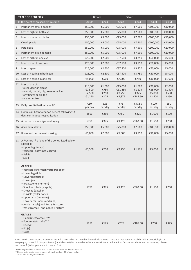| <b>TABLE OF BENEFITS</b> |                                                                                                                                                                                                                                                                                                                                                                               | <b>Bronze</b>                         |                                | Silver                                 |                                     | Gold                                   |                                  |
|--------------------------|-------------------------------------------------------------------------------------------------------------------------------------------------------------------------------------------------------------------------------------------------------------------------------------------------------------------------------------------------------------------------------|---------------------------------------|--------------------------------|----------------------------------------|-------------------------------------|----------------------------------------|----------------------------------|
|                          | In the event of an accident causing:                                                                                                                                                                                                                                                                                                                                          | <b>Adult</b>                          | Child                          | <b>Adult</b>                           | Child                               | <b>Adult</b>                           | Child                            |
| 1                        | Permanent total disability                                                                                                                                                                                                                                                                                                                                                    | €50,000                               | €5,000                         | €75,000                                | €7,500                              | €100,000                               | €10,000                          |
| $\overline{2}$           | Loss of sight in both eyes                                                                                                                                                                                                                                                                                                                                                    | €50,000                               | €5,000                         | €75,000                                | €7,500                              | €100,000                               | €10,000                          |
| 3                        | Loss of use in two limbs                                                                                                                                                                                                                                                                                                                                                      | €50,000                               | €5,000                         | €75,000                                | €7,500                              | €100,000                               | €10,000                          |
| 4                        | Quadriplegia                                                                                                                                                                                                                                                                                                                                                                  | €50,000                               | €5,000                         | €75,000                                | €7,500                              | €100,000                               | €10,000                          |
| 5                        | Paraplegia                                                                                                                                                                                                                                                                                                                                                                    | €50,000                               | €5,000                         | €75,000                                | €7,500                              | €100,000                               | €10,000                          |
| 6                        | Permanent brain damage                                                                                                                                                                                                                                                                                                                                                        | €50,000                               | €5,000                         | €75,000                                | €7,500                              | €100,000                               | €10,000                          |
| 7                        | Loss of sight in one eye                                                                                                                                                                                                                                                                                                                                                      | €25,000                               | €2,500                         | €37,500                                | €3,750                              | €50,000                                | €5,000                           |
| 8                        | Loss of use of one limb                                                                                                                                                                                                                                                                                                                                                       | €25,000                               | €2,500                         | €37,500                                | €3,750                              | €50,000                                | €5,000                           |
| 9                        | Loss of speech                                                                                                                                                                                                                                                                                                                                                                | €25,000                               | €2,500                         | €37,500                                | €3,750                              | €50,000                                | €5,000                           |
| 10                       | Loss of hearing in both ears                                                                                                                                                                                                                                                                                                                                                  | €25,000                               | €2,500                         | €37,500                                | €3,750                              | €50,000                                | €5,000                           |
| 11                       | Loss of hearing in one ear                                                                                                                                                                                                                                                                                                                                                    | €5,000                                | €500                           | €7,500                                 | €750                                | €10,000                                | €1,000                           |
| 12                       | Loss of use of:<br>• a shoulder or elbow<br>• a wrist, thumb, hip, knee or ankle<br>• any finger or big toe<br>• any other toe                                                                                                                                                                                                                                                | €10,000<br>€7,500<br>€2,500<br>€1,250 | €1,000<br>€750<br>€250<br>€125 | €15,000<br>€11,250<br>€3,750<br>€1,875 | €1,500<br>€1,125<br>€375<br>€187.50 | €20,000<br>€15,000<br>€5,000<br>€2,500 | €2,000<br>€1,500<br>€500<br>€250 |
| 13                       | Daily hospitalisation benefit*                                                                                                                                                                                                                                                                                                                                                | €50<br>per day                        | €25<br>per day                 | €75<br>per day                         | €37.50<br>per day                   | €100<br>per day                        | €50<br>per day                   |
| 14                       | Lump sum hospitalisation benefit following 14<br>days continuous hospitalisation                                                                                                                                                                                                                                                                                              | €500                                  | €250                           | €750                                   | €375                                | €1,000                                 | €500                             |
| 15                       | Anterior cruciate ligament injury                                                                                                                                                                                                                                                                                                                                             | €750                                  | €375                           | €1,125                                 | €562.50                             | €1,500                                 | €750                             |
|                          | 16 Accidental death                                                                                                                                                                                                                                                                                                                                                           | €50,000                               | €5,000                         | €75,000                                | €7,500                              | €100,000                               | €10,000                          |
| 17                       | Burns and permanent scarring                                                                                                                                                                                                                                                                                                                                                  | €5,000                                | €2,500                         | €7,500                                 | €3,750                              | €10,000                                | €5,000                           |
| 18                       | A Fracture** of one of the bones listed below:<br><b>GRADE III</b><br>· Upper leg (femur)<br>· Vertebral body (not Coccyx)<br>• Pelvis<br>$\bullet$ Skull                                                                                                                                                                                                                     | €1,500                                | €750                           | €2,250                                 | €1,125                              | €3,000                                 | €1,500                           |
|                          | <b>GRADE II</b><br>• Vertebra other than vertebral body<br>• Lower leg (tibia)<br>• Lower leg (fibula)<br>· Lower jaw<br>• Breastbone (sternum)<br>· Shoulder blade (scapula)<br>• Kneecap (patella)<br>• Clavicle (collar bone)<br>• Upper arm (humerus)<br>• Lower arm (radius and ulna)<br>• Ankle (tarsals) and Pott's Fracture<br>· Wrist (carpals) and Colles' Fracture | €750                                  | €375                           | €1,125                                 | €562.50                             | €1,500                                 | €750                             |
|                          | <b>GRADE I</b><br>• Hand (metacarpals)***<br>• Foot (metatarsals)***<br>• Coccyx<br>$\bullet$ Rib(s)<br>• Nose                                                                                                                                                                                                                                                                | €250                                  | €125                           | €375                                   | €187.50                             | €750                                   | €375                             |

In certain circumstances the amount we will pay may be restricted or limited. Please see clause 5.4 (Permanent total disability, quadriplegia or paraplegia); clause 5.5 (Hospitalisation) and clause 6 (Maximum benefits and restrictions on benefits). Certain accidents are not covered, please see clause 7 (What you are not covered for).

\* Excluding the first 24 hours and up to a maximum of 45 days in hospital. \*\* Please note fracture cover does not start until day 16 of your policy

\*\*\* Excludes all fingers and toes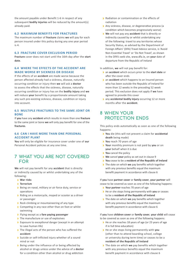the amount payable under Benefit 1-6 in respect of any subsequent **bodily injuries** will be reduced by the amount(s) already paid.

### **6.2 MAXIMUM BENEFITS FOR FRACTURES**

The maximum number of **fracture** claims **we** will pay for each person insured under this policy during any one year period is 4.

#### **6.3 FRACTURE COVER EXCLUSION PERIOD**

**Fracture** cover does not start until the 16th day after the **start date**.

### **6.4 WHERE THE EFFECTS OF THE ACCIDENT ARE MADE WORSE BY SICKNESS OR DISEASE**

If the effects of an **accident** are made worse because the person affected already had a sickness, disease, naturally occurring condition or injury then **we** will ask a **doctor** to assess the effects that the sickness, disease, naturally occurring condition or injury has on the **bodily injury** and **we** will reduce **your** benefit by a proportionate amount taking any such pre-existing sickness, disease, condition or injury into account.

### **6.5 MULTIPLE FRACTURES TO THE SAME JOINT OR BONE**

If **you** have any **accident** which results in more than one **fracture** to the same joint or bone **we** will only pay benefit for one of the **fractures**.

### **6.6 CAN I HAVE MORE THAN ONE PERSONAL ACCIDENT PLAN?**

**You** will only be eligible for insurance cover under one of **our** Personal Accident policies at any one time.

### **7 WHAT YOU ARE NOT COVERED FOR**

**We** will not pay benefit for any **accident** that is directly or indirectly caused by or whilst undertaking any of the following:

- › **War risks**
- › **Terrorism**
- › Being on naval, military or air force duty, service or operations
- › Riding on a motorcycle, moped or scooter as a driver or passenger
- › Rock climbing or mountaineering of any type
- › Competing in any race other than on foot or whilst swimming
- › Flying except as a **fare paying passenger**
- › The manufacture or use of explosives
- › Exposure to exceptional danger (except in an attempt to save human life)
- › The illegal acts of the person who has suffered the **accident**
- › Suicide or self-inflicted injury whether of a sound mind or not
- › Being under the influence of or being affected by alcohol or drugs unless under the advice of a **doctor** for a condition other than alcohol or drug addiction
- › Radiation or contamination or the effects of radiation
- › Any sickness, disease, or degenerative process (a condition which becomes progressively worse)
- › **We** will not pay any **accident** that is directly or indirectly caused by or whilst undertaking any of the following: travel to any territories whose Security Status, as advised by the Department of Foreign Affairs' (DFA) Travel Advice service, is 'Avoid Non-Essential Travel' or 'Do Not Travel', as shown in the DFA's web site, www.dfa.ie, on **your** date of departure from the Republic of Ireland

In addition, **we** will not pay benefit for:

- › an **accident** which occurs prior to the **start date** or after the cover ends
- **a** an **accident** which happens to an insured person who has been outside the Republic of Ireland for more than 12 weeks in the preceding 52 week period. This exclusion does not apply if **we** have agreed to provide this cover
- › any **accidental bodily injury** occurring 12 or more months after the **accident**.

### **8 WHEN YOUR PROTECTION ENDS**

This policy ends automatically as soon as one of the following happens:

- › **You** die (this will not prevent a claim for **accidental death** being made)
- › **You** reach 70 years of age
- › **Your** monthly premium is not paid by **you** or on **your** behalf when it is due
- › **You** cancel the policy
- › **We** cancel **your** policy as set out in clause 9
- › **You** cease to be a **resident of the Republic of Ireland**
- › The date on which **we** pay benefits which together with any previous benefits equal the maximum benefit payment in accordance with clause 6

If **you** have **partner cover** or **family cover**, **your partner** will cease to be covered as soon as one of the following happens:

- › **Your partner** reaches 70 years of age
- › He or she stops living permanently with **you** or ceases to be a **resident of the Republic of Ireland**
- › The date on which **we** pay benefits which together with any previous benefits equal the maximum benefit payment in accordance with clause 6

If **you** have **children cover** or **family cover**, **your child** will cease to be covered as soon as one of the following happens:

- › He or she reaches 18 years of age (or 23 years of age if in full time education)
- › He or she stops living permanently with **you** (other than to attend boarding school, college or university during term time) or ceases to be a **resident of the Republic of Ireland**
- › The date on which **we** pay benefits which together with any previous benefits equal the maximum benefit payment in accordance with clause 6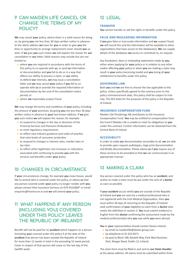### **9 CAN MAIDEN LIFE CANCEL OR CHANGE THE TERMS OF MY POLICY?**

**We** may cancel **your** policy, where there is a valid reason for doing so, by giving **you** not less than 30 days written notice in advance to the latest address **we** have for **you** in order to give **you** the time or opportunity to arrange replacement cover should **you** so wish. If **we** give **you** such notice **we** will explain the reason for **our** cancellation in **our** letter. Valid reasons may include but are not limited to:

- › where **you** are required in accordance with the terms of this policy to co-operate with **us**, or send **us** information or documentation and **you** fail to do so in a way that affects our ability to process a claim, or **our** ability to defend **our** interests, **we** may issue a cancellation letter and **we** may cancel **your** policy if **you** fail to cooperate with **us** or provide the required information or documentation by the end of the cancellation notice period; or
- › where **we** reasonably suspect fraud.

**We** may change the terms and conditions of **your** policy, including the amount of **your** premium, by giving **you** not less than 30 days written notice in advance to **your** last known address. If **we** give **you** such notice **we** will explain the reason; for example:

- **I** to respond to changes in the law or decisions of the Financial Services and Pensions Ombudsman
- **I** to meet regulatory requirements
- **I** to reflect new industry guidance and codes of practice that raise levels of consumer protection
- › to respond to changes in interest rates, market rates or tax rates
- › to reflect other legitimate cost increases or reductions associated with continuing to provide **you** with the services and benefits under **your** policy.

### **10 CHANGES IN CIRCUMSTANCE**

If **your** circumstances change, for example **you** move house, would like to amend who is covered under the policy, or advise **us** that any person covered under **your** policy no longer resides with **you** please contact Hive Insurance Services on 074 9161868\* or email enquiries@hiveinsure.ie and **we** will amend **your** policy.

### **11 WHAT HAPPENS IF ANY PERSON (INCLUDING YOU) COVERED UNDER THIS POLICY LEAVES THE REPUBLIC OF IRELAND?**

Benefit will not be paid for an **accident** which happens to a person (including **you**) covered under this policy if at the date of the **accident** that person has been outside the Republic of Ireland for more than 12 weeks in total in the preceding 52 week period. Cover in respect of that person will cease on the last day of the twelfth week.

### **12 LEGAL**

#### **TRANSFER**

**You** cannot transfer or sell the rights or benefits under this policy.

### **FALSE AND MISLEADING INFORMATION**

If **you** give false or inaccurate information and **we** suspect fraud, **we** will record this and the information will be available to other organisations that have access to the database(s). **We** can supply details of the databases **we** access or contribute to, on request.

Any fraudulent, false or misleading statements made by **you** either when applying for **your** policy or in relation to any other matter affecting **your** policy or when **you** are making a claim may result in **your** policy becoming invalid and **you** losing all **your** entitlement to benefits under this policy.

#### **GOVERNING LAW**

Both **you** and **we** are free to choose the law applicable to this policy. Unless specifically agreed to the contrary prior to the policy commencement date, this policy shall be subject to Irish Law. The EEA State for the purposes of the policy is the Republic of Ireland.

#### **INSURANCE COMPENSATION FUND**

Maiden Life Försäkrings AB contributes to the Insurance Compensation Fund. **You** may be entitled to compensation from the Fund if Maiden Life is unable to meet its obligations to **you** under this contract. Further information can be obtained from the Central Bank of Ireland.

#### **ACCESSIBILITY**

In order to make **our** documentation accessible to all, **we** are able to provide upon request audiotapes, large print documentation and Braille documentation. Please advise **us** if **you** require any of these services to be provided so that **we** can communicate in an appropriate manner.

### **13 MAKING A CLAIM**

Any person covered under this policy who has an **accident**, and wishes to make a claim must be put under the care of a **doctor** as soon as possible.

If **your accident** occurs whilst **you** are outside of the Republic of Ireland and **you** are seen by a medical professional who is not registered with the Irish Medical Organisation, then **you** must within 30 days of returning to the Republic of Ireland seek confirmation of **your** eligibility to claim from a **doctor** who meets the definition in section 3. **You** must submit evidence in English from this **doctor** confirming the assessment made by the medical professional(s) who **you** saw while **you** were abroad.

**You** or **your** representative should contact Davies Ireland:

- **>** by email to maidenlife@davies-group.com
- by telephone to 01 623 8471
- by post to Block 10B, Beckett Way, Park West Business Park, Nangor Road, Dublin 12, Ireland.

The claim form must be filled in and sent to **our Claim Handler** at the above address. All claims must be submitted within three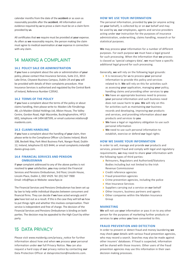calendar months from the date of the **accident** or as soon as reasonably possible after the **accident**. All information and evidence required by **us** to prove a claim must be on a claim form provided by **us**.

All certificates that **we** require must be provided at **your** expense. As often as **we** reasonably require, the person making the claim must agree to medical examination at **our** expense in connection with any claim.

### **14 MAKING A COMPLAINT**

### **14.1 POLICY SALE OR ADMINISTRATION**

If **you** have a complaint about the sale or administration of **your** policy, please contact Hive Insurance Services, Suite 211, 3013 Lake Drive, Citywest Business Campus, Dublin 24 and **you** will be provided with details of their complaints procedure. Hive Insurance Services is authorised and regulated by the Central Bank of Ireland, Reference Number C29542.

#### **14.2 TERMS OF THE POLICY**

If **you** have a complaint about the terms of the policy or about claims handling, then please write to: Maiden Life Försäkrings AB, c/o Maiden Global Holdings Ltd, Albion House, The Valley Centre, Gordon Road, High Wycombe, Buckinghamshire, HP13 6EQ, telephone +44 1494 687599, or email customer.relations@ maideniis.com.

#### **14.3 CLAIMS HANDLING**

If **you** have a complaint about the handling of **your** claim, then please write to the Compliance Officer c/o Davies Ireland, Block 10B, Beckett Way, Park West Business Park, Nangor Road, Dublin 12, Ireland, telephone 01 623 8444, or email complaints.ireland@ davies-group.com.

### **14.4 FINANCIAL SERVICES AND PENSION OMBUDSMAN**

If **your** complaint addressed to any of the above parties is not resolved to **your** satisfaction, **you** may contact the Financial Services and Pensions Ombudsman, 3rd Floor, Lincoln House, Lincoln Place, Dublin 2, D02 VH29. Tel: (01) 567 7000 Email: info@fspo.ie Website: www.fspo.ie

The Financial Services and Pensions Ombudsman has been set up by law to help settle individual disputes between consumers and financial firms. They can decide if **we** have acted wrongly and if **you** have lost out as a result. If this is the case they will tell **us** how to put things right and whether this involves compensation. Their service is independent and free of charge. The decision of the Financial Services and Pensions Ombudsman is binding on both parties. The decision may be appealed to the High Court by either party.

### **15 DATA PRIVACY**

Please visit www.maidenlg.com/privacy\_notice for further information about how and when **we** process **your** personal information under **our** full Privacy Notice. **You** can also request a hard copy of **our** privacy notice by contacting **our** Data Protection Officer at dataprotection@maideniis.com.

#### **HOW WE USE YOUR INFORMATION**

The personal information, provided by **you** (or anyone acting on **your** behalf), is collected by or on **our** behalf and may be used by **us**, **our** employees, agents and service providers acting under **our** instruction for the purposes of insurance administration, underwriting, claims handling, research or for statistical purposes.

**We** may process **your** information for a number of different purposes. For each purpose **we** must have a legal ground for such processing. When the information that **we** process is classed as 'special category data', **we** must have a specific additional legal ground for such processing.

Generally, **we** will rely on the following legal grounds:

- › It is necessary for **us** to process **your** personal information to provide this policy and services related to it. **We** will rely on this for activities such as assessing **your** application, managing **your** policy, handling claims and providing other services to **you**
- › **We** have an appropriate business need to process **your** personal information and such business need does not cause harm to **you**. **We** will rely on this for activities such as maintaining **our** business records and developing, improving **our** products and services, and providing information about **our** products and services to **you**
- › **We** have a legal or regulatory obligation to use such personal information
- › **We** need to use such personal information to establish, exercise or defend **our** legal rights

#### **HOW WE SHARE YOUR INFORMATION**

In order to sell, manage and provide **our** products and services, prevent fraud and comply with legal and regulatory requirements, **we** may need to share **your** information with the following types of third parties:

- › Reinsurers, Regulators and Authorised/Statutory Bodies including but not limited to the Irish Revenue Commissioner
- › Credit reference agencies
- **>** Fraud prevention agencies
- **I** Crime prevention agencies, including the police
- › Hive Insurance Services
- › Suppliers carrying out a service on **our** behalf
- › Other insurers, business partners and agents
- › Other companies within the Maiden Insurance Group

#### **MARKETING**

**We** will not use **your** information or pass it on to any other person for the purposes of marketing further products or services to **you** unless **you** have consented to this.

### **FRAUD PREVENTION AND DETECTION**

In order to prevent or detect fraud and money laundering **we** may check **your** details with various fraud prevention agencies, who may record a search. Searches may also be made against other insurers' databases. If fraud is suspected, information will be shared with those insurers. Other users of the fraud prevention agencies may use this information in their own decision making processes.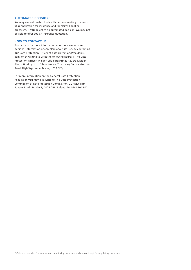### **AUTOMATED DECISIONS**

**We** may use automated tools with decision making to assess **your** application for insurance and for claims handling processes. If **you** object to an automated decision, **we** may not be able to offer **you** an insurance quotation.

### **HOW TO CONTACT US**

**You** can ask for more information about **our** use of **your** personal information or complain about its use, by contacting **our** Data Protection Officer at dataprotection@maideniis. com, or by writing to **us** at the following address: The Data Protection Officer, Maiden Life Försäkrings AB, c/o Maiden Global Holdings Ltd. Albion House, The Valley Centre, Gordon Road, High Wycombe, Bucks, HP13 6EQ.

For more information on the General Data Protection Regulation **you** may also write to The Data Protection Commission at Data Protection Commission, 21 Fitzwilliam Square South, Dublin 2, D02 RD28, Ireland. Tel 0761 104 800.